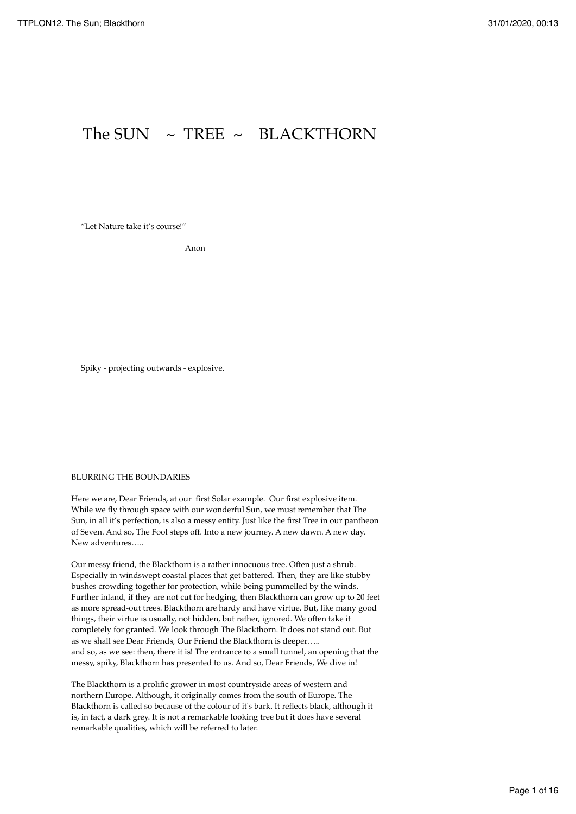# The SUN  $\sim$  TREE  $\sim$  BLACKTHORN

"Let Nature take it's course!"

Anon

Spiky - projecting outwards - explosive.

# BLURRING THE BOUNDARIES

Here we are, Dear Friends, at our first Solar example. Our first explosive item. While we fly through space with our wonderful Sun, we must remember that The Sun, in all it's perfection, is also a messy entity. Just like the first Tree in our pantheon of Seven. And so, The Fool steps off. Into a new journey. A new dawn. A new day. New adventures…..

Our messy friend, the Blackthorn is a rather innocuous tree. Often just a shrub. Especially in windswept coastal places that get battered. Then, they are like stubby bushes crowding together for protection, while being pummelled by the winds. Further inland, if they are not cut for hedging, then Blackthorn can grow up to 20 feet as more spread-out trees. Blackthorn are hardy and have virtue. But, like many good things, their virtue is usually, not hidden, but rather, ignored. We often take it completely for granted. We look through The Blackthorn. It does not stand out. But as we shall see Dear Friends, Our Friend the Blackthorn is deeper….. and so, as we see: then, there it is! The entrance to a small tunnel, an opening that the messy, spiky, Blackthorn has presented to us. And so, Dear Friends, We dive in!

The Blackthorn is a prolific grower in most countryside areas of western and northern Europe. Although, it originally comes from the south of Europe. The Blackthorn is called so because of the colour of it's bark. It reflects black, although it is, in fact, a dark grey. It is not a remarkable looking tree but it does have several remarkable qualities, which will be referred to later.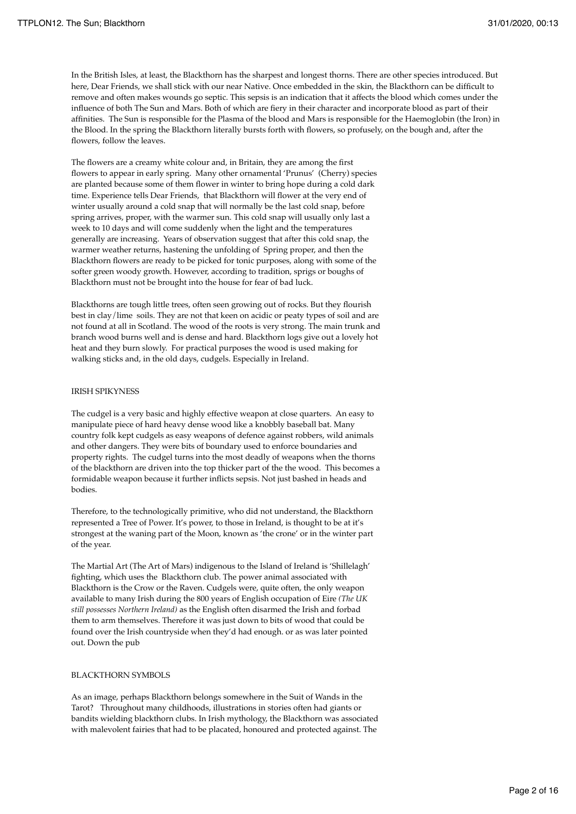In the British Isles, at least, the Blackthorn has the sharpest and longest thorns. There are other species introduced. But here, Dear Friends, we shall stick with our near Native. Once embedded in the skin, the Blackthorn can be difficult to remove and often makes wounds go septic. This sepsis is an indication that it affects the blood which comes under the influence of both The Sun and Mars. Both of which are fiery in their character and incorporate blood as part of their affinities. The Sun is responsible for the Plasma of the blood and Mars is responsible for the Haemoglobin (the Iron) in the Blood. In the spring the Blackthorn literally bursts forth with flowers, so profusely, on the bough and, after the flowers, follow the leaves.

The flowers are a creamy white colour and, in Britain, they are among the first flowers to appear in early spring. Many other ornamental 'Prunus' (Cherry) species are planted because some of them flower in winter to bring hope during a cold dark time. Experience tells Dear Friends, that Blackthorn will flower at the very end of winter usually around a cold snap that will normally be the last cold snap, before spring arrives, proper, with the warmer sun. This cold snap will usually only last a week to 10 days and will come suddenly when the light and the temperatures generally are increasing. Years of observation suggest that after this cold snap, the warmer weather returns, hastening the unfolding of Spring proper, and then the Blackthorn flowers are ready to be picked for tonic purposes, along with some of the softer green woody growth. However, according to tradition, sprigs or boughs of Blackthorn must not be brought into the house for fear of bad luck.

Blackthorns are tough little trees, often seen growing out of rocks. But they flourish best in clay/lime soils. They are not that keen on acidic or peaty types of soil and are not found at all in Scotland. The wood of the roots is very strong. The main trunk and branch wood burns well and is dense and hard. Blackthorn logs give out a lovely hot heat and they burn slowly. For practical purposes the wood is used making for walking sticks and, in the old days, cudgels. Especially in Ireland.

## IRISH SPIKYNESS

The cudgel is a very basic and highly effective weapon at close quarters. An easy to manipulate piece of hard heavy dense wood like a knobbly baseball bat. Many country folk kept cudgels as easy weapons of defence against robbers, wild animals and other dangers. They were bits of boundary used to enforce boundaries and property rights. The cudgel turns into the most deadly of weapons when the thorns of the blackthorn are driven into the top thicker part of the the wood. This becomes a formidable weapon because it further inflicts sepsis. Not just bashed in heads and bodies.

Therefore, to the technologically primitive, who did not understand, the Blackthorn represented a Tree of Power. It's power, to those in Ireland, is thought to be at it's strongest at the waning part of the Moon, known as 'the crone' or in the winter part of the year.

The Martial Art (The Art of Mars) indigenous to the Island of Ireland is 'Shillelagh' fighting, which uses the Blackthorn club. The power animal associated with Blackthorn is the Crow or the Raven. Cudgels were, quite often, the only weapon available to many Irish during the 800 years of English occupation of Eire *(The UK still possesses Northern Ireland)* as the English often disarmed the Irish and forbad them to arm themselves. Therefore it was just down to bits of wood that could be found over the Irish countryside when they'd had enough. or as was later pointed out. Down the pub

# BLACKTHORN SYMBOLS

As an image, perhaps Blackthorn belongs somewhere in the Suit of Wands in the Tarot? Throughout many childhoods, illustrations in stories often had giants or bandits wielding blackthorn clubs. In Irish mythology, the Blackthorn was associated with malevolent fairies that had to be placated, honoured and protected against. The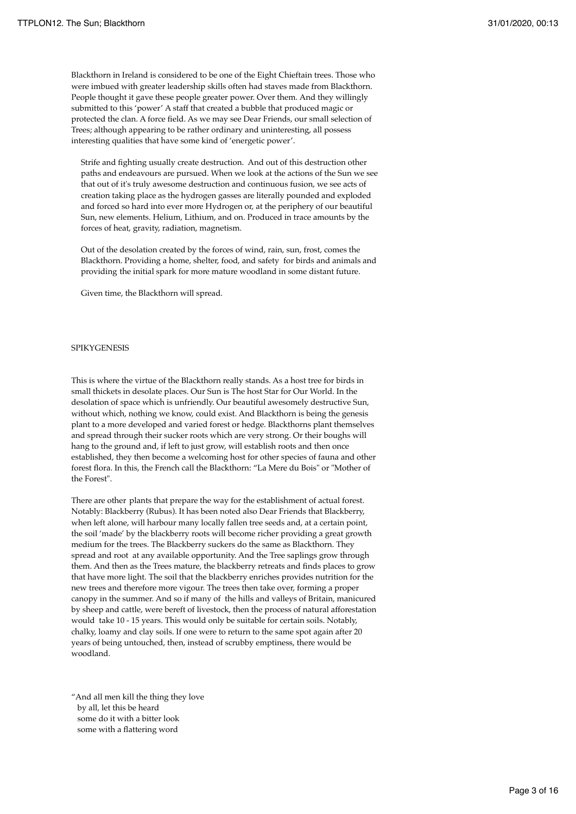Blackthorn in Ireland is considered to be one of the Eight Chieftain trees. Those who were imbued with greater leadership skills often had staves made from Blackthorn. People thought it gave these people greater power. Over them. And they willingly submitted to this 'power' A staff that created a bubble that produced magic or protected the clan. A force field. As we may see Dear Friends, our small selection of Trees; although appearing to be rather ordinary and uninteresting, all possess interesting qualities that have some kind of 'energetic power'.

Strife and fighting usually create destruction. And out of this destruction other paths and endeavours are pursued. When we look at the actions of the Sun we see that out of it's truly awesome destruction and continuous fusion, we see acts of creation taking place as the hydrogen gasses are literally pounded and exploded and forced so hard into ever more Hydrogen or, at the periphery of our beautiful Sun, new elements. Helium, Lithium, and on. Produced in trace amounts by the forces of heat, gravity, radiation, magnetism.

Out of the desolation created by the forces of wind, rain, sun, frost, comes the Blackthorn. Providing a home, shelter, food, and safety for birds and animals and providing the initial spark for more mature woodland in some distant future.

Given time, the Blackthorn will spread.

## **SPIKYGENESIS**

This is where the virtue of the Blackthorn really stands. As a host tree for birds in small thickets in desolate places. Our Sun is The host Star for Our World. In the desolation of space which is unfriendly. Our beautiful awesomely destructive Sun, without which, nothing we know, could exist. And Blackthorn is being the genesis plant to a more developed and varied forest or hedge. Blackthorns plant themselves and spread through their sucker roots which are very strong. Or their boughs will hang to the ground and, if left to just grow, will establish roots and then once established, they then become a welcoming host for other species of fauna and other forest flora. In this, the French call the Blackthorn: "La Mere du Bois" or "Mother of the Forest".

There are other plants that prepare the way for the establishment of actual forest. Notably: Blackberry (Rubus). It has been noted also Dear Friends that Blackberry, when left alone, will harbour many locally fallen tree seeds and, at a certain point, the soil 'made' by the blackberry roots will become richer providing a great growth medium for the trees. The Blackberry suckers do the same as Blackthorn. They spread and root at any available opportunity. And the Tree saplings grow through them. And then as the Trees mature, the blackberry retreats and finds places to grow that have more light. The soil that the blackberry enriches provides nutrition for the new trees and therefore more vigour. The trees then take over, forming a proper canopy in the summer. And so if many of the hills and valleys of Britain, manicured by sheep and cattle, were bereft of livestock, then the process of natural afforestation would take 10 - 15 years. This would only be suitable for certain soils. Notably, chalky, loamy and clay soils. If one were to return to the same spot again after 20 years of being untouched, then, instead of scrubby emptiness, there would be woodland.

"And all men kill the thing they love by all, let this be heard some do it with a bitter look some with a flattering word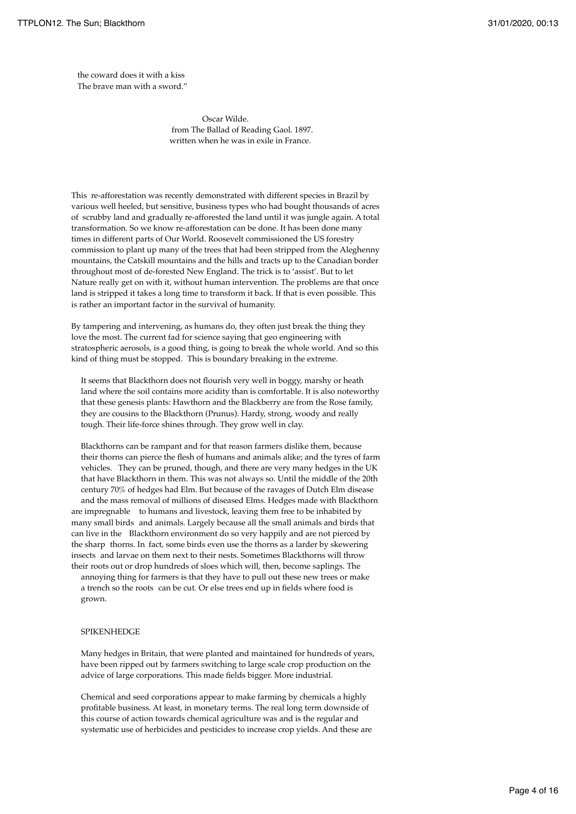the coward does it with a kiss The brave man with a sword."

> Oscar Wilde. from The Ballad of Reading Gaol. 1897. written when he was in exile in France.

This re-afforestation was recently demonstrated with different species in Brazil by various well heeled, but sensitive, business types who had bought thousands of acres of scrubby land and gradually re-afforested the land until it was jungle again. A total transformation. So we know re-afforestation can be done. It has been done many times in different parts of Our World. Roosevelt commissioned the US forestry commission to plant up many of the trees that had been stripped from the Aleghenny mountains, the Catskill mountains and the hills and tracts up to the Canadian border throughout most of de-forested New England. The trick is to 'assist'. But to let Nature really get on with it, without human intervention. The problems are that once land is stripped it takes a long time to transform it back. If that is even possible. This is rather an important factor in the survival of humanity.

By tampering and intervening, as humans do, they often just break the thing they love the most. The current fad for science saying that geo engineering with stratospheric aerosols, is a good thing, is going to break the whole world. And so this kind of thing must be stopped. This is boundary breaking in the extreme.

It seems that Blackthorn does not flourish very well in boggy, marshy or heath land where the soil contains more acidity than is comfortable. It is also noteworthy that these genesis plants: Hawthorn and the Blackberry are from the Rose family, they are cousins to the Blackthorn (Prunus). Hardy, strong, woody and really tough. Their life-force shines through. They grow well in clay.

Blackthorns can be rampant and for that reason farmers dislike them, because their thorns can pierce the flesh of humans and animals alike; and the tyres of farm vehicles. They can be pruned, though, and there are very many hedges in the UK that have Blackthorn in them. This was not always so. Until the middle of the 20th century 70% of hedges had Elm. But because of the ravages of Dutch Elm disease and the mass removal of millions of diseased Elms. Hedges made with Blackthorn are impregnable to humans and livestock, leaving them free to be inhabited by many small birds and animals. Largely because all the small animals and birds that can live in the Blackthorn environment do so very happily and are not pierced by the sharp thorns. In fact, some birds even use the thorns as a larder by skewering insects and larvae on them next to their nests. Sometimes Blackthorns will throw their roots out or drop hundreds of sloes which will, then, become saplings. The annoying thing for farmers is that they have to pull out these new trees or make a trench so the roots can be cut. Or else trees end up in fields where food is

grown.

## **SPIKENHEDGE**

Many hedges in Britain, that were planted and maintained for hundreds of years, have been ripped out by farmers switching to large scale crop production on the advice of large corporations. This made fields bigger. More industrial.

Chemical and seed corporations appear to make farming by chemicals a highly profitable business. At least, in monetary terms. The real long term downside of this course of action towards chemical agriculture was and is the regular and systematic use of herbicides and pesticides to increase crop yields. And these are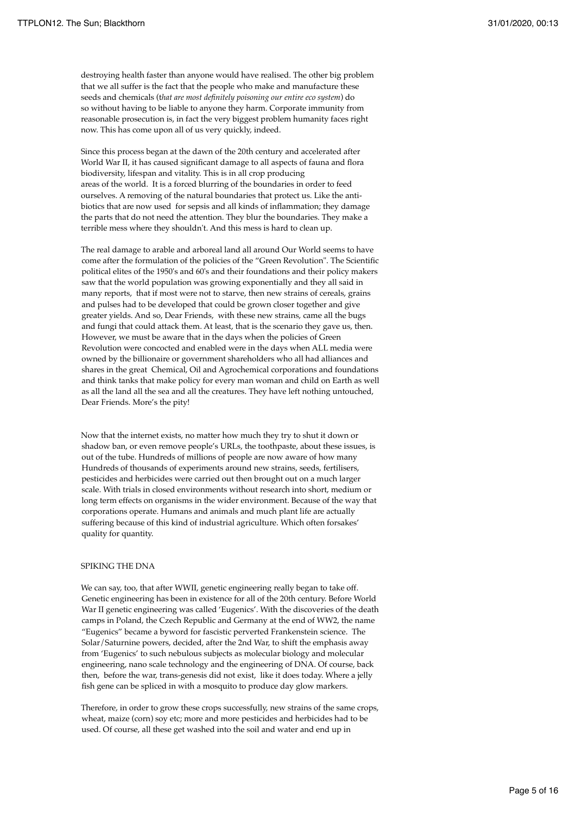destroying health faster than anyone would have realised. The other big problem that we all suffer is the fact that the people who make and manufacture these seeds and chemicals (t*hat are most definitely poisoning our entire eco system*) do so without having to be liable to anyone they harm. Corporate immunity from reasonable prosecution is, in fact the very biggest problem humanity faces right now. This has come upon all of us very quickly, indeed.

Since this process began at the dawn of the 20th century and accelerated after World War II, it has caused significant damage to all aspects of fauna and flora biodiversity, lifespan and vitality. This is in all crop producing areas of the world. It is a forced blurring of the boundaries in order to feed ourselves. A removing of the natural boundaries that protect us. Like the antibiotics that are now used for sepsis and all kinds of inflammation; they damage the parts that do not need the attention. They blur the boundaries. They make a terrible mess where they shouldn't. And this mess is hard to clean up.

The real damage to arable and arboreal land all around Our World seems to have come after the formulation of the policies of the "Green Revolution". The Scientific political elites of the 1950's and 60's and their foundations and their policy makers saw that the world population was growing exponentially and they all said in many reports, that if most were not to starve, then new strains of cereals, grains and pulses had to be developed that could be grown closer together and give greater yields. And so, Dear Friends, with these new strains, came all the bugs and fungi that could attack them. At least, that is the scenario they gave us, then. However, we must be aware that in the days when the policies of Green Revolution were concocted and enabled were in the days when ALL media were owned by the billionaire or government shareholders who all had alliances and shares in the great Chemical, Oil and Agrochemical corporations and foundations and think tanks that make policy for every man woman and child on Earth as well as all the land all the sea and all the creatures. They have left nothing untouched, Dear Friends. More's the pity!

Now that the internet exists, no matter how much they try to shut it down or shadow ban, or even remove people's URLs, the toothpaste, about these issues, is out of the tube. Hundreds of millions of people are now aware of how many Hundreds of thousands of experiments around new strains, seeds, fertilisers, pesticides and herbicides were carried out then brought out on a much larger scale. With trials in closed environments without research into short, medium or long term effects on organisms in the wider environment. Because of the way that corporations operate. Humans and animals and much plant life are actually suffering because of this kind of industrial agriculture. Which often forsakes' quality for quantity.

### SPIKING THE DNA

We can say, too, that after WWII, genetic engineering really began to take off. Genetic engineering has been in existence for all of the 20th century. Before World War II genetic engineering was called 'Eugenics'. With the discoveries of the death camps in Poland, the Czech Republic and Germany at the end of WW2, the name "Eugenics" became a byword for fascistic perverted Frankenstein science. The Solar/Saturnine powers, decided, after the 2nd War, to shift the emphasis away from 'Eugenics' to such nebulous subjects as molecular biology and molecular engineering, nano scale technology and the engineering of DNA. Of course, back then, before the war, trans-genesis did not exist, like it does today. Where a jelly fish gene can be spliced in with a mosquito to produce day glow markers.

Therefore, in order to grow these crops successfully, new strains of the same crops, wheat, maize (corn) soy etc; more and more pesticides and herbicides had to be used. Of course, all these get washed into the soil and water and end up in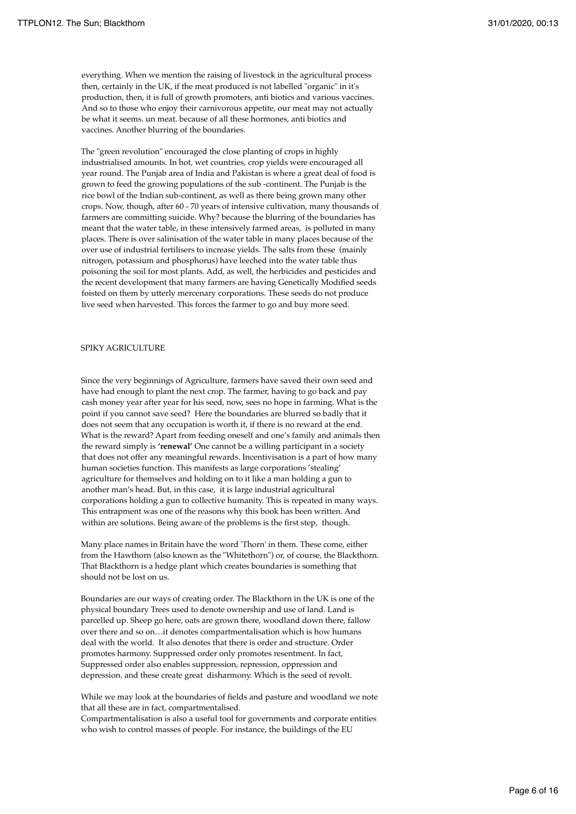everything. When we mention the raising of livestock in the agricultural process then, certainly in the UK, if the meat produced is not labelled "organic" in it's production, then, it is full of growth promoters, anti biotics and various vaccines. And so to those who enjoy their carnivorous appetite, our meat may not actually be what it seems. un meat. because of all these hormones, anti biotics and vaccines. Another blurring of the boundaries.

The "green revolution" encouraged the close planting of crops in highly industrialised amounts. In hot, wet countries, crop yields were encouraged all year round. The Punjab area of India and Pakistan is where a great deal of food is grown to feed the growing populations of the sub -continent. The Punjab is the rice bowl of the Indian sub-continent, as well as there being grown many other crops. Now, though, after 60 - 70 years of intensive cultivation, many thousands of farmers are committing suicide. Why? because the blurring of the boundaries has meant that the water table, in these intensively farmed areas, is polluted in many places. There is over salinisation of the water table in many places because of the over use of industrial fertilisers to increase yields. The salts from these (mainly nitrogen, potassium and phosphorus) have leeched into the water table thus poisoning the soil for most plants. Add, as well, the herbicides and pesticides and the recent development that many farmers are having Genetically Modified seeds foisted on them by utterly mercenary corporations. These seeds do not produce live seed when harvested. This forces the farmer to go and buy more seed.

## SPIKY AGRICULTURE

Since the very beginnings of Agriculture, farmers have saved their own seed and have had enough to plant the next crop. The farmer, having to go back and pay cash money year after year for his seed, now, sees no hope in farming. What is the point if you cannot save seed? Here the boundaries are blurred so badly that it does not seem that any occupation is worth it, if there is no reward at the end. What is the reward? Apart from feeding oneself and one's family and animals then the reward simply is **'renewal'** One cannot be a willing participant in a society that does not offer any meaningful rewards. Incentivisation is a part of how many human societies function. This manifests as large corporations 'stealing' agriculture for themselves and holding on to it like a man holding a gun to another man's head. But, in this case, it is large industrial agricultural corporations holding a gun to collective humanity. This is repeated in many ways. This entrapment was one of the reasons why this book has been written. And within are solutions. Being aware of the problems is the first step, though.

Many place names in Britain have the word 'Thorn' in them. These come, either from the Hawthorn (also known as the "Whitethorn") or, of course, the Blackthorn. That Blackthorn is a hedge plant which creates boundaries is something that should not be lost on us.

Boundaries are our ways of creating order. The Blackthorn in the UK is one of the physical boundary Trees used to denote ownership and use of land. Land is parcelled up. Sheep go here, oats are grown there, woodland down there, fallow over there and so on…it denotes compartmentalisation which is how humans deal with the world. It also denotes that there is order and structure. Order promotes harmony. Suppressed order only promotes resentment. In fact, Suppressed order also enables suppression, repression, oppression and depression. and these create great disharmony. Which is the seed of revolt.

While we may look at the boundaries of fields and pasture and woodland we note that all these are in fact, compartmentalised.

Compartmentalisation is also a useful tool for governments and corporate entities who wish to control masses of people. For instance, the buildings of the EU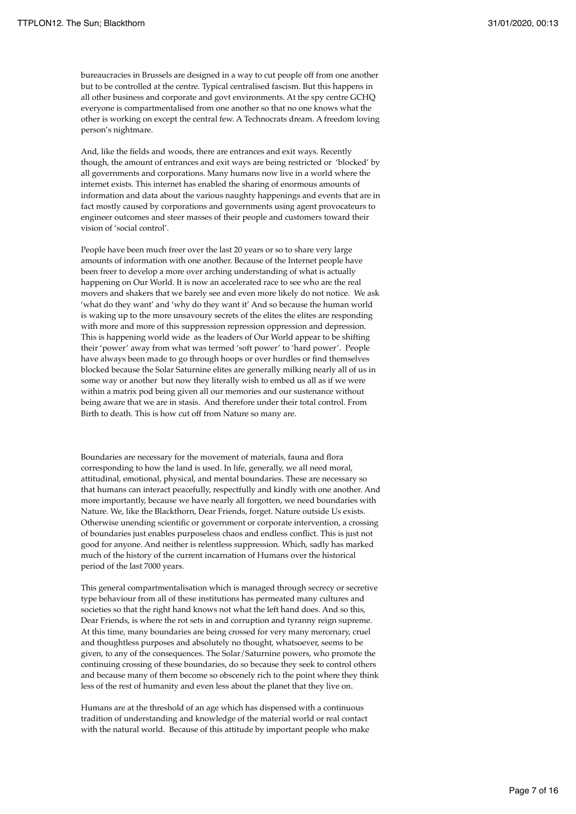bureaucracies in Brussels are designed in a way to cut people off from one another but to be controlled at the centre. Typical centralised fascism. But this happens in all other business and corporate and govt environments. At the spy centre GCHQ everyone is compartmentalised from one another so that no one knows what the other is working on except the central few. A Technocrats dream. A freedom loving person's nightmare.

And, like the fields and woods, there are entrances and exit ways. Recently though, the amount of entrances and exit ways are being restricted or 'blocked' by all governments and corporations. Many humans now live in a world where the internet exists. This internet has enabled the sharing of enormous amounts of information and data about the various naughty happenings and events that are in fact mostly caused by corporations and governments using agent provocateurs to engineer outcomes and steer masses of their people and customers toward their vision of 'social control'.

People have been much freer over the last 20 years or so to share very large amounts of information with one another. Because of the Internet people have been freer to develop a more over arching understanding of what is actually happening on Our World. It is now an accelerated race to see who are the real movers and shakers that we barely see and even more likely do not notice. We ask 'what do they want' and 'why do they want it' And so because the human world is waking up to the more unsavoury secrets of the elites the elites are responding with more and more of this suppression repression oppression and depression. This is happening world wide as the leaders of Our World appear to be shifting their 'power' away from what was termed 'soft power' to 'hard power'. People have always been made to go through hoops or over hurdles or find themselves blocked because the Solar Saturnine elites are generally milking nearly all of us in some way or another but now they literally wish to embed us all as if we were within a matrix pod being given all our memories and our sustenance without being aware that we are in stasis. And therefore under their total control. From Birth to death. This is how cut off from Nature so many are.

Boundaries are necessary for the movement of materials, fauna and flora corresponding to how the land is used. In life, generally, we all need moral, attitudinal, emotional, physical, and mental boundaries. These are necessary so that humans can interact peacefully, respectfully and kindly with one another. And more importantly, because we have nearly all forgotten, we need boundaries with Nature. We, like the Blackthorn, Dear Friends, forget. Nature outside Us exists. Otherwise unending scientific or government or corporate intervention, a crossing of boundaries just enables purposeless chaos and endless conflict. This is just not good for anyone. And neither is relentless suppression. Which, sadly has marked much of the history of the current incarnation of Humans over the historical period of the last 7000 years.

This general compartmentalisation which is managed through secrecy or secretive type behaviour from all of these institutions has permeated many cultures and societies so that the right hand knows not what the left hand does. And so this, Dear Friends, is where the rot sets in and corruption and tyranny reign supreme. At this time, many boundaries are being crossed for very many mercenary, cruel and thoughtless purposes and absolutely no thought, whatsoever, seems to be given, to any of the consequences. The Solar/Saturnine powers, who promote the continuing crossing of these boundaries, do so because they seek to control others and because many of them become so obscenely rich to the point where they think less of the rest of humanity and even less about the planet that they live on.

Humans are at the threshold of an age which has dispensed with a continuous tradition of understanding and knowledge of the material world or real contact with the natural world. Because of this attitude by important people who make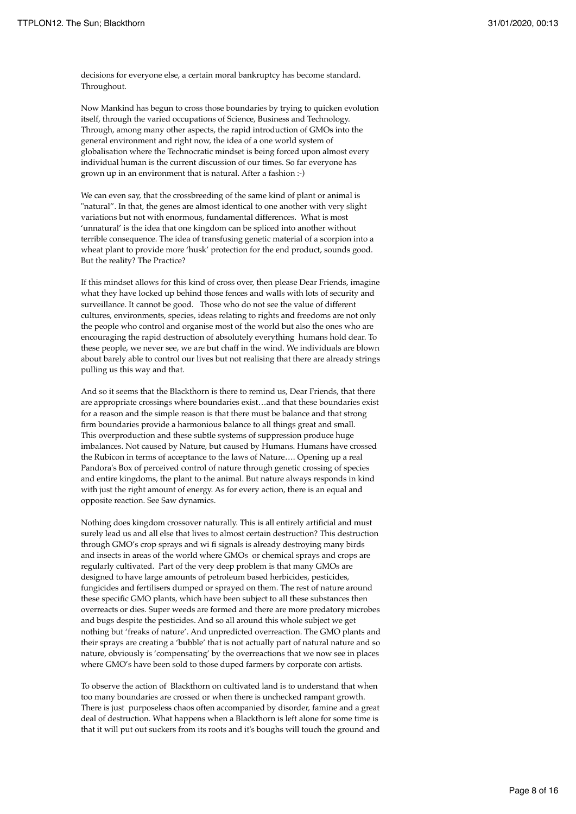decisions for everyone else, a certain moral bankruptcy has become standard. Throughout.

Now Mankind has begun to cross those boundaries by trying to quicken evolution itself, through the varied occupations of Science, Business and Technology. Through, among many other aspects, the rapid introduction of GMOs into the general environment and right now, the idea of a one world system of globalisation where the Technocratic mindset is being forced upon almost every individual human is the current discussion of our times. So far everyone has grown up in an environment that is natural. After a fashion :-)

We can even say, that the crossbreeding of the same kind of plant or animal is "natural". In that, the genes are almost identical to one another with very slight variations but not with enormous, fundamental differences. What is most 'unnatural' is the idea that one kingdom can be spliced into another without terrible consequence. The idea of transfusing genetic material of a scorpion into a wheat plant to provide more 'husk' protection for the end product, sounds good. But the reality? The Practice?

If this mindset allows for this kind of cross over, then please Dear Friends, imagine what they have locked up behind those fences and walls with lots of security and surveillance. It cannot be good. Those who do not see the value of different cultures, environments, species, ideas relating to rights and freedoms are not only the people who control and organise most of the world but also the ones who are encouraging the rapid destruction of absolutely everything humans hold dear. To these people, we never see, we are but chaff in the wind. We individuals are blown about barely able to control our lives but not realising that there are already strings pulling us this way and that.

And so it seems that the Blackthorn is there to remind us, Dear Friends, that there are appropriate crossings where boundaries exist…and that these boundaries exist for a reason and the simple reason is that there must be balance and that strong firm boundaries provide a harmonious balance to all things great and small. This overproduction and these subtle systems of suppression produce huge imbalances. Not caused by Nature, but caused by Humans. Humans have crossed the Rubicon in terms of acceptance to the laws of Nature…. Opening up a real Pandora's Box of perceived control of nature through genetic crossing of species and entire kingdoms, the plant to the animal. But nature always responds in kind with just the right amount of energy. As for every action, there is an equal and opposite reaction. See Saw dynamics.

Nothing does kingdom crossover naturally. This is all entirely artificial and must surely lead us and all else that lives to almost certain destruction? This destruction through GMO's crop sprays and wi fi signals is already destroying many birds and insects in areas of the world where GMOs or chemical sprays and crops are regularly cultivated. Part of the very deep problem is that many GMOs are designed to have large amounts of petroleum based herbicides, pesticides, fungicides and fertilisers dumped or sprayed on them. The rest of nature around these specific GMO plants, which have been subject to all these substances then overreacts or dies. Super weeds are formed and there are more predatory microbes and bugs despite the pesticides. And so all around this whole subject we get nothing but 'freaks of nature'. And unpredicted overreaction. The GMO plants and their sprays are creating a 'bubble' that is not actually part of natural nature and so nature, obviously is 'compensating' by the overreactions that we now see in places where GMO's have been sold to those duped farmers by corporate con artists.

To observe the action of Blackthorn on cultivated land is to understand that when too many boundaries are crossed or when there is unchecked rampant growth. There is just purposeless chaos often accompanied by disorder, famine and a great deal of destruction. What happens when a Blackthorn is left alone for some time is that it will put out suckers from its roots and it's boughs will touch the ground and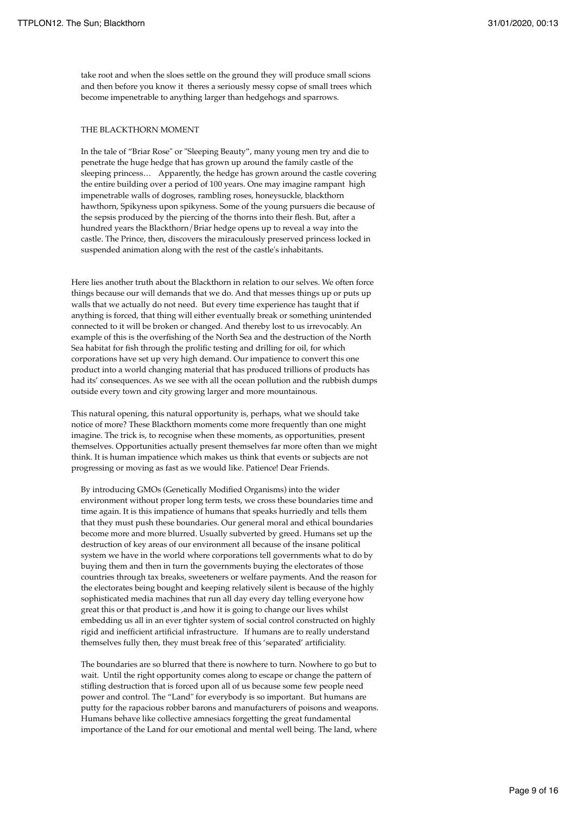take root and when the sloes settle on the ground they will produce small scions and then before you know it theres a seriously messy copse of small trees which become impenetrable to anything larger than hedgehogs and sparrows.

## THE BLACKTHORN MOMENT

In the tale of "Briar Rose" or "Sleeping Beauty", many young men try and die to penetrate the huge hedge that has grown up around the family castle of the sleeping princess… Apparently, the hedge has grown around the castle covering the entire building over a period of 100 years. One may imagine rampant high impenetrable walls of dogroses, rambling roses, honeysuckle, blackthorn hawthorn, Spikyness upon spikyness. Some of the young pursuers die because of the sepsis produced by the piercing of the thorns into their flesh. But, after a hundred years the Blackthorn/Briar hedge opens up to reveal a way into the castle. The Prince, then, discovers the miraculously preserved princess locked in suspended animation along with the rest of the castle's inhabitants.

Here lies another truth about the Blackthorn in relation to our selves. We often force things because our will demands that we do. And that messes things up or puts up walls that we actually do not need. But every time experience has taught that if anything is forced, that thing will either eventually break or something unintended connected to it will be broken or changed. And thereby lost to us irrevocably. An example of this is the overfishing of the North Sea and the destruction of the North Sea habitat for fish through the prolific testing and drilling for oil, for which corporations have set up very high demand. Our impatience to convert this one product into a world changing material that has produced trillions of products has had its' consequences. As we see with all the ocean pollution and the rubbish dumps outside every town and city growing larger and more mountainous.

This natural opening, this natural opportunity is, perhaps, what we should take notice of more? These Blackthorn moments come more frequently than one might imagine. The trick is, to recognise when these moments, as opportunities, present themselves. Opportunities actually present themselves far more often than we might think. It is human impatience which makes us think that events or subjects are not progressing or moving as fast as we would like. Patience! Dear Friends.

By introducing GMOs (Genetically Modified Organisms) into the wider environment without proper long term tests, we cross these boundaries time and time again. It is this impatience of humans that speaks hurriedly and tells them that they must push these boundaries. Our general moral and ethical boundaries become more and more blurred. Usually subverted by greed. Humans set up the destruction of key areas of our environment all because of the insane political system we have in the world where corporations tell governments what to do by buying them and then in turn the governments buying the electorates of those countries through tax breaks, sweeteners or welfare payments. And the reason for the electorates being bought and keeping relatively silent is because of the highly sophisticated media machines that run all day every day telling everyone how great this or that product is ,and how it is going to change our lives whilst embedding us all in an ever tighter system of social control constructed on highly rigid and inefficient artificial infrastructure. If humans are to really understand themselves fully then, they must break free of this 'separated' artificiality.

The boundaries are so blurred that there is nowhere to turn. Nowhere to go but to wait. Until the right opportunity comes along to escape or change the pattern of stifling destruction that is forced upon all of us because some few people need power and control. The "Land" for everybody is so important. But humans are putty for the rapacious robber barons and manufacturers of poisons and weapons. Humans behave like collective amnesiacs forgetting the great fundamental importance of the Land for our emotional and mental well being. The land, where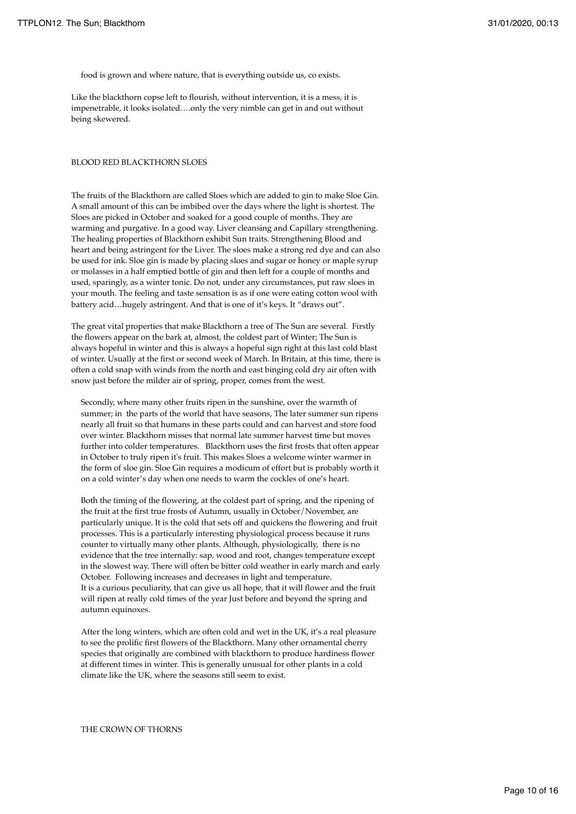food is grown and where nature, that is everything outside us, co exists.

Like the blackthorn copse left to flourish, without intervention, it is a mess, it is impenetrable, it looks isolated….only the very nimble can get in and out without being skewered.

#### BLOOD RED BLACKTHORN SLOES

The fruits of the Blackthorn are called Sloes which are added to gin to make Sloe Gin. A small amount of this can be imbibed over the days where the light is shortest. The Sloes are picked in October and soaked for a good couple of months. They are warming and purgative. In a good way. Liver cleansing and Capillary strengthening. The healing properties of Blackthorn exhibit Sun traits. Strengthening Blood and heart and being astringent for the Liver. The sloes make a strong red dye and can also be used for ink. Sloe gin is made by placing sloes and sugar or honey or maple syrup or molasses in a half emptied bottle of gin and then left for a couple of months and used, sparingly, as a winter tonic. Do not, under any circumstances, put raw sloes in your mouth. The feeling and taste sensation is as if one were eating cotton wool with battery acid…hugely astringent. And that is one of it's keys. It "draws out".

The great vital properties that make Blackthorn a tree of The Sun are several. Firstly the flowers appear on the bark at, almost, the coldest part of Winter; The Sun is always hopeful in winter and this is always a hopeful sign right at this last cold blast of winter. Usually at the first or second week of March. In Britain, at this time, there is often a cold snap with winds from the north and east binging cold dry air often with snow just before the milder air of spring, proper, comes from the west.

Secondly, where many other fruits ripen in the sunshine, over the warmth of summer; in the parts of the world that have seasons, The later summer sun ripens nearly all fruit so that humans in these parts could and can harvest and store food over winter. Blackthorn misses that normal late summer harvest time but moves further into colder temperatures. Blackthorn uses the first frosts that often appear in October to truly ripen it's fruit. This makes Sloes a welcome winter warmer in the form of sloe gin. Sloe Gin requires a modicum of effort but is probably worth it on a cold winter's day when one needs to warm the cockles of one's heart.

Both the timing of the flowering, at the coldest part of spring, and the ripening of the fruit at the first true frosts of Autumn, usually in October/November, are particularly unique. It is the cold that sets off and quickens the flowering and fruit processes. This is a particularly interesting physiological process because it runs counter to virtually many other plants. Although, physiologically, there is no evidence that the tree internally: sap, wood and root, changes temperature except in the slowest way. There will often be bitter cold weather in early march and early October. Following increases and decreases in light and temperature. It is a curious peculiarity, that can give us all hope, that it will flower and the fruit will ripen at really cold times of the year Just before and beyond the spring and autumn equinoxes.

After the long winters, which are often cold and wet in the UK, it's a real pleasure to see the prolific first flowers of the Blackthorn. Many other ornamental cherry species that originally are combined with blackthorn to produce hardiness flower at different times in winter. This is generally unusual for other plants in a cold climate like the UK, where the seasons still seem to exist.

### THE CROWN OF THORNS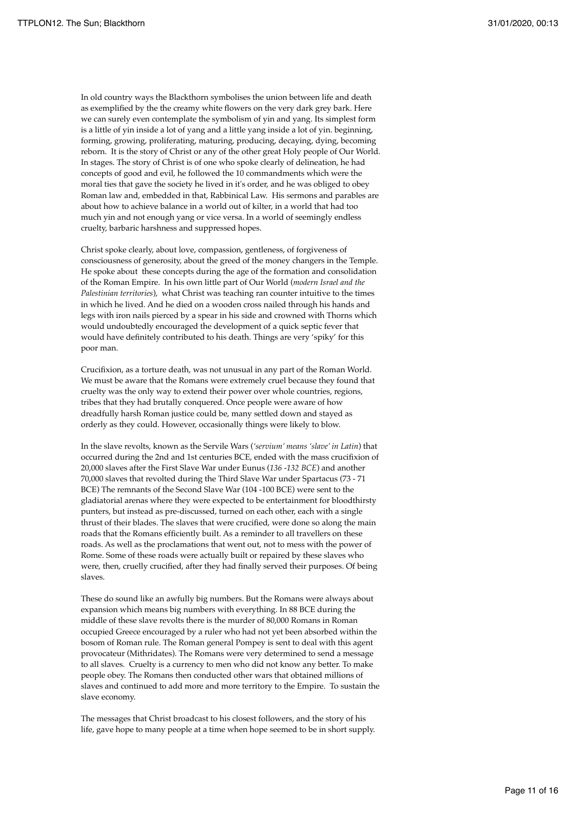In old country ways the Blackthorn symbolises the union between life and death as exemplified by the the creamy white flowers on the very dark grey bark. Here we can surely even contemplate the symbolism of yin and yang. Its simplest form is a little of yin inside a lot of yang and a little yang inside a lot of yin. beginning, forming, growing, proliferating, maturing, producing, decaying, dying, becoming reborn. It is the story of Christ or any of the other great Holy people of Our World. In stages. The story of Christ is of one who spoke clearly of delineation, he had concepts of good and evil, he followed the 10 commandments which were the moral ties that gave the society he lived in it's order, and he was obliged to obey Roman law and, embedded in that, Rabbinical Law. His sermons and parables are about how to achieve balance in a world out of kilter, in a world that had too much yin and not enough yang or vice versa. In a world of seemingly endless cruelty, barbaric harshness and suppressed hopes.

Christ spoke clearly, about love, compassion, gentleness, of forgiveness of consciousness of generosity, about the greed of the money changers in the Temple. He spoke about these concepts during the age of the formation and consolidation of the Roman Empire. In his own little part of Our World (*modern Israel and the Palestinian territories*), what Christ was teaching ran counter intuitive to the times in which he lived. And he died on a wooden cross nailed through his hands and legs with iron nails pierced by a spear in his side and crowned with Thorns which would undoubtedly encouraged the development of a quick septic fever that would have definitely contributed to his death. Things are very 'spiky' for this poor man.

Crucifixion, as a torture death, was not unusual in any part of the Roman World. We must be aware that the Romans were extremely cruel because they found that cruelty was the only way to extend their power over whole countries, regions, tribes that they had brutally conquered. Once people were aware of how dreadfully harsh Roman justice could be, many settled down and stayed as orderly as they could. However, occasionally things were likely to blow.

In the slave revolts, known as the Servile Wars (*'servium' means 'slave' in Latin*) that occurred during the 2nd and 1st centuries BCE, ended with the mass crucifixion of 20,000 slaves after the First Slave War under Eunus (*136 -132 BCE*) and another 70,000 slaves that revolted during the Third Slave War under Spartacus (73 - 71 BCE) The remnants of the Second Slave War (104 -100 BCE) were sent to the gladiatorial arenas where they were expected to be entertainment for bloodthirsty punters, but instead as pre-discussed, turned on each other, each with a single thrust of their blades. The slaves that were crucified, were done so along the main roads that the Romans efficiently built. As a reminder to all travellers on these roads. As well as the proclamations that went out, not to mess with the power of Rome. Some of these roads were actually built or repaired by these slaves who were, then, cruelly crucified, after they had finally served their purposes. Of being slaves.

These do sound like an awfully big numbers. But the Romans were always about expansion which means big numbers with everything. In 88 BCE during the middle of these slave revolts there is the murder of 80,000 Romans in Roman occupied Greece encouraged by a ruler who had not yet been absorbed within the bosom of Roman rule. The Roman general Pompey is sent to deal with this agent provocateur (Mithridates). The Romans were very determined to send a message to all slaves. Cruelty is a currency to men who did not know any better. To make people obey. The Romans then conducted other wars that obtained millions of slaves and continued to add more and more territory to the Empire. To sustain the slave economy.

The messages that Christ broadcast to his closest followers, and the story of his life, gave hope to many people at a time when hope seemed to be in short supply.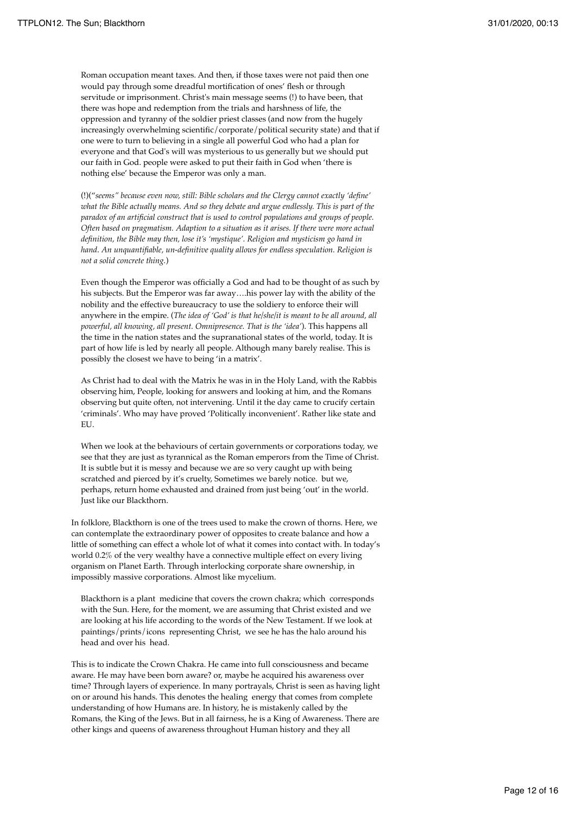Roman occupation meant taxes. And then, if those taxes were not paid then one would pay through some dreadful mortification of ones' flesh or through servitude or imprisonment. Christ's main message seems (!) to have been, that there was hope and redemption from the trials and harshness of life, the oppression and tyranny of the soldier priest classes (and now from the hugely increasingly overwhelming scientific/corporate/political security state) and that if one were to turn to believing in a single all powerful God who had a plan for everyone and that God's will was mysterious to us generally but we should put our faith in God. people were asked to put their faith in God when 'there is nothing else' because the Emperor was only a man.

(!)("*seems" because even now, still: Bible scholars and the Clergy cannot exactly 'define' what the Bible actually means. And so they debate and argue endlessly. This is part of the paradox of an artificial construct that is used to control populations and groups of people. Often based on pragmatism. Adaption to a situation as it arises. If there were more actual definition, the Bible may then, lose it's 'mystique'. Religion and mysticism go hand in hand*. *An unquantifiable, un-definitive quality allows for endless speculation. Religion is not a solid concrete thing.*)

Even though the Emperor was officially a God and had to be thought of as such by his subjects. But the Emperor was far away….his power lay with the ability of the nobility and the effective bureaucracy to use the soldiery to enforce their will anywhere in the empire. (*The idea of 'God' is that he/she/it is meant to be all around, all powerful, all knowing, all present. Omnipresence. That is the 'idea'*). This happens all the time in the nation states and the supranational states of the world, today. It is part of how life is led by nearly all people. Although many barely realise. This is possibly the closest we have to being 'in a matrix'.

As Christ had to deal with the Matrix he was in in the Holy Land, with the Rabbis observing him, People, looking for answers and looking at him, and the Romans observing but quite often, not intervening. Until it the day came to crucify certain 'criminals'. Who may have proved 'Politically inconvenient'. Rather like state and EU.

When we look at the behaviours of certain governments or corporations today, we see that they are just as tyrannical as the Roman emperors from the Time of Christ. It is subtle but it is messy and because we are so very caught up with being scratched and pierced by it's cruelty, Sometimes we barely notice. but we, perhaps, return home exhausted and drained from just being 'out' in the world. Just like our Blackthorn.

In folklore, Blackthorn is one of the trees used to make the crown of thorns. Here, we can contemplate the extraordinary power of opposites to create balance and how a little of something can effect a whole lot of what it comes into contact with. In today's world 0.2% of the very wealthy have a connective multiple effect on every living organism on Planet Earth. Through interlocking corporate share ownership, in impossibly massive corporations. Almost like mycelium.

Blackthorn is a plant medicine that covers the crown chakra; which corresponds with the Sun. Here, for the moment, we are assuming that Christ existed and we are looking at his life according to the words of the New Testament. If we look at paintings/prints/icons representing Christ, we see he has the halo around his head and over his head.

This is to indicate the Crown Chakra. He came into full consciousness and became aware. He may have been born aware? or, maybe he acquired his awareness over time? Through layers of experience. In many portrayals, Christ is seen as having light on or around his hands. This denotes the healing energy that comes from complete understanding of how Humans are. In history, he is mistakenly called by the Romans, the King of the Jews. But in all fairness, he is a King of Awareness. There are other kings and queens of awareness throughout Human history and they all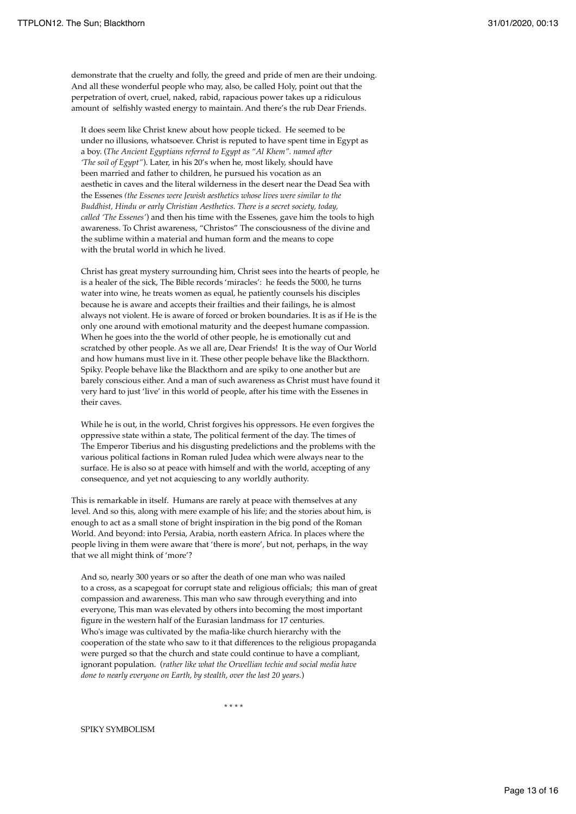demonstrate that the cruelty and folly, the greed and pride of men are their undoing. And all these wonderful people who may, also, be called Holy, point out that the perpetration of overt, cruel, naked, rabid, rapacious power takes up a ridiculous amount of selfishly wasted energy to maintain. And there's the rub Dear Friends.

It does seem like Christ knew about how people ticked. He seemed to be under no illusions, whatsoever. Christ is reputed to have spent time in Egypt as a boy. (*The Ancient Egyptians referred to Egypt as "Al Khem". named after 'The soil of Egypt"*). Later, in his 20's when he, most likely, should have been married and father to children, he pursued his vocation as an aesthetic in caves and the literal wilderness in the desert near the Dead Sea with the Essenes *(the Essenes were Jewish aesthetics whose lives were similar to the Buddhist, Hindu or early Christian Aesthetics. There is a secret society, today, called 'The Essenes'*) and then his time with the Essenes, gave him the tools to high awareness. To Christ awareness, "Christos" The consciousness of the divine and the sublime within a material and human form and the means to cope with the brutal world in which he lived.

Christ has great mystery surrounding him, Christ sees into the hearts of people, he is a healer of the sick, The Bible records 'miracles': he feeds the 5000, he turns water into wine, he treats women as equal, he patiently counsels his disciples because he is aware and accepts their frailties and their failings, he is almost always not violent. He is aware of forced or broken boundaries. It is as if He is the only one around with emotional maturity and the deepest humane compassion. When he goes into the the world of other people, he is emotionally cut and scratched by other people. As we all are, Dear Friends! It is the way of Our World and how humans must live in it. These other people behave like the Blackthorn. Spiky. People behave like the Blackthorn and are spiky to one another but are barely conscious either. And a man of such awareness as Christ must have found it very hard to just 'live' in this world of people, after his time with the Essenes in their caves.

While he is out, in the world, Christ forgives his oppressors. He even forgives the oppressive state within a state, The political ferment of the day. The times of The Emperor Tiberius and his disgusting predelictions and the problems with the various political factions in Roman ruled Judea which were always near to the surface. He is also so at peace with himself and with the world, accepting of any consequence, and yet not acquiescing to any worldly authority.

This is remarkable in itself. Humans are rarely at peace with themselves at any level. And so this, along with mere example of his life; and the stories about him, is enough to act as a small stone of bright inspiration in the big pond of the Roman World. And beyond: into Persia, Arabia, north eastern Africa. In places where the people living in them were aware that 'there is more', but not, perhaps, in the way that we all might think of 'more'?

And so, nearly 300 years or so after the death of one man who was nailed to a cross, as a scapegoat for corrupt state and religious officials; this man of great compassion and awareness. This man who saw through everything and into everyone, This man was elevated by others into becoming the most important figure in the western half of the Eurasian landmass for 17 centuries. Who's image was cultivated by the mafia-like church hierarchy with the cooperation of the state who saw to it that differences to the religious propaganda were purged so that the church and state could continue to have a compliant, ignorant population. (*rather like what the Orwellian techie and social media have done to nearly everyone on Earth, by stealth, over the last 20 years.*)

 $\star \star \star \star$ 

### SPIKY SYMBOLISM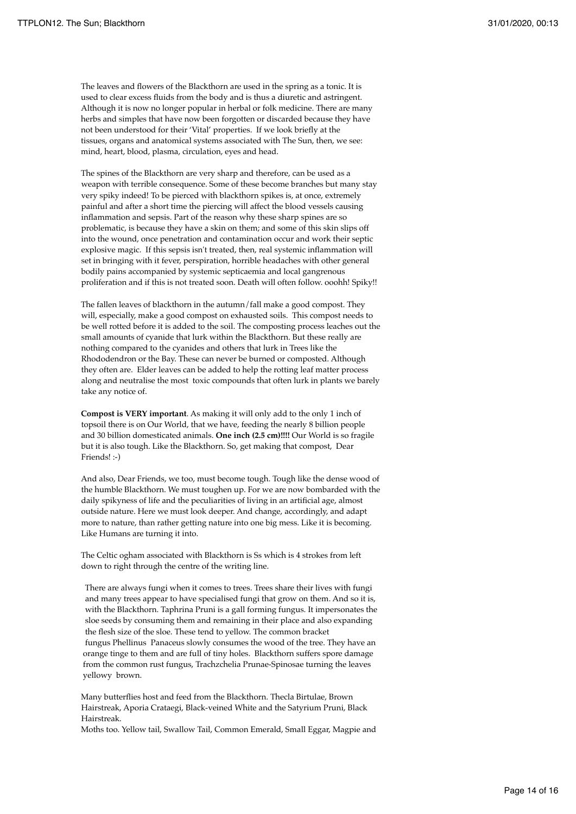The leaves and flowers of the Blackthorn are used in the spring as a tonic. It is used to clear excess fluids from the body and is thus a diuretic and astringent. Although it is now no longer popular in herbal or folk medicine. There are many herbs and simples that have now been forgotten or discarded because they have not been understood for their 'Vital' properties. If we look briefly at the tissues, organs and anatomical systems associated with The Sun, then, we see: mind, heart, blood, plasma, circulation, eyes and head.

The spines of the Blackthorn are very sharp and therefore, can be used as a weapon with terrible consequence. Some of these become branches but many stay very spiky indeed! To be pierced with blackthorn spikes is, at once, extremely painful and after a short time the piercing will affect the blood vessels causing inflammation and sepsis. Part of the reason why these sharp spines are so problematic, is because they have a skin on them; and some of this skin slips off into the wound, once penetration and contamination occur and work their septic explosive magic. If this sepsis isn't treated, then, real systemic inflammation will set in bringing with it fever, perspiration, horrible headaches with other general bodily pains accompanied by systemic septicaemia and local gangrenous proliferation and if this is not treated soon. Death will often follow. ooohh! Spiky!!

The fallen leaves of blackthorn in the autumn/fall make a good compost. They will, especially, make a good compost on exhausted soils. This compost needs to be well rotted before it is added to the soil. The composting process leaches out the small amounts of cyanide that lurk within the Blackthorn. But these really are nothing compared to the cyanides and others that lurk in Trees like the Rhododendron or the Bay. These can never be burned or composted. Although they often are. Elder leaves can be added to help the rotting leaf matter process along and neutralise the most toxic compounds that often lurk in plants we barely take any notice of.

**Compost is VERY important**. As making it will only add to the only 1 inch of topsoil there is on Our World, that we have, feeding the nearly 8 billion people and 30 billion domesticated animals. **One inch (2.5 cm)!!!!** Our World is so fragile but it is also tough. Like the Blackthorn. So, get making that compost, Dear Friends! :-)

And also, Dear Friends, we too, must become tough. Tough like the dense wood of the humble Blackthorn. We must toughen up. For we are now bombarded with the daily spikyness of life and the peculiarities of living in an artificial age, almost outside nature. Here we must look deeper. And change, accordingly, and adapt more to nature, than rather getting nature into one big mess. Like it is becoming. Like Humans are turning it into.

The Celtic ogham associated with Blackthorn is Ss which is 4 strokes from left down to right through the centre of the writing line.

 There are always fungi when it comes to trees. Trees share their lives with fungi and many trees appear to have specialised fungi that grow on them. And so it is, with the Blackthorn. Taphrina Pruni is a gall forming fungus. It impersonates the sloe seeds by consuming them and remaining in their place and also expanding the flesh size of the sloe. These tend to yellow. The common bracket fungus Phellinus Panaceus slowly consumes the wood of the tree. They have an orange tinge to them and are full of tiny holes. Blackthorn suffers spore damage from the common rust fungus, Trachzchelia Prunae-Spinosae turning the leaves yellowy brown.

Many butterflies host and feed from the Blackthorn. Thecla Birtulae, Brown Hairstreak, Aporia Crataegi, Black-veined White and the Satyrium Pruni, Black Hairstreak.

Moths too. Yellow tail, Swallow Tail, Common Emerald, Small Eggar, Magpie and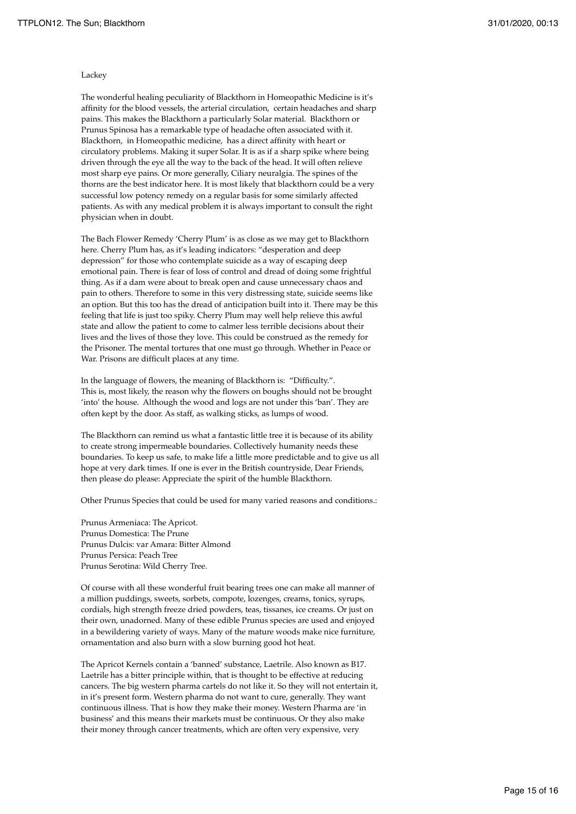### Lackey

The wonderful healing peculiarity of Blackthorn in Homeopathic Medicine is it's affinity for the blood vessels, the arterial circulation, certain headaches and sharp pains. This makes the Blackthorn a particularly Solar material. Blackthorn or Prunus Spinosa has a remarkable type of headache often associated with it. Blackthorn, in Homeopathic medicine, has a direct affinity with heart or circulatory problems. Making it super Solar. It is as if a sharp spike where being driven through the eye all the way to the back of the head. It will often relieve most sharp eye pains. Or more generally, Ciliary neuralgia. The spines of the thorns are the best indicator here. It is most likely that blackthorn could be a very successful low potency remedy on a regular basis for some similarly affected patients. As with any medical problem it is always important to consult the right physician when in doubt.

The Bach Flower Remedy 'Cherry Plum' is as close as we may get to Blackthorn here. Cherry Plum has, as it's leading indicators: "desperation and deep depression" for those who contemplate suicide as a way of escaping deep emotional pain. There is fear of loss of control and dread of doing some frightful thing. As if a dam were about to break open and cause unnecessary chaos and pain to others. Therefore to some in this very distressing state, suicide seems like an option. But this too has the dread of anticipation built into it. There may be this feeling that life is just too spiky. Cherry Plum may well help relieve this awful state and allow the patient to come to calmer less terrible decisions about their lives and the lives of those they love. This could be construed as the remedy for the Prisoner. The mental tortures that one must go through. Whether in Peace or War. Prisons are difficult places at any time.

In the language of flowers, the meaning of Blackthorn is: "Difficulty.". This is, most likely, the reason why the flowers on boughs should not be brought 'into' the house. Although the wood and logs are not under this 'ban'. They are often kept by the door. As staff, as walking sticks, as lumps of wood.

The Blackthorn can remind us what a fantastic little tree it is because of its ability to create strong impermeable boundaries. Collectively humanity needs these boundaries. To keep us safe, to make life a little more predictable and to give us all hope at very dark times. If one is ever in the British countryside, Dear Friends, then please do please: Appreciate the spirit of the humble Blackthorn.

Other Prunus Species that could be used for many varied reasons and conditions.:

Prunus Armeniaca: The Apricot. Prunus Domestica: The Prune Prunus Dulcis: var Amara: Bitter Almond Prunus Persica: Peach Tree Prunus Serotina: Wild Cherry Tree.

Of course with all these wonderful fruit bearing trees one can make all manner of a million puddings, sweets, sorbets, compote, lozenges, creams, tonics, syrups, cordials, high strength freeze dried powders, teas, tissanes, ice creams. Or just on their own, unadorned. Many of these edible Prunus species are used and enjoyed in a bewildering variety of ways. Many of the mature woods make nice furniture, ornamentation and also burn with a slow burning good hot heat.

The Apricot Kernels contain a 'banned' substance, Laetrile. Also known as B17. Laetrile has a bitter principle within, that is thought to be effective at reducing cancers. The big western pharma cartels do not like it. So they will not entertain it, in it's present form. Western pharma do not want to cure, generally. They want continuous illness. That is how they make their money. Western Pharma are 'in business' and this means their markets must be continuous. Or they also make their money through cancer treatments, which are often very expensive, very